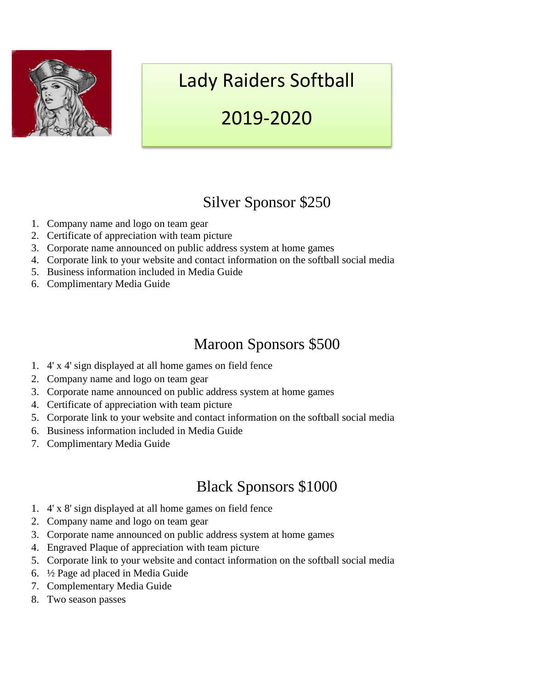

# Lady Raiders Softball

## 2019-2020

### Silver Sponsor \$250

- 1. Company name and logo on team gear
- 2. Certificate of appreciation with team picture
- 3. Corporate name announced on public address system at home games
- 4. Corporate link to your website and contact information on the softball social media
- 5. Business information included in Media Guide
- 6. Complimentary Media Guide

### Maroon Sponsors \$500

- 1. 4' x 4' sign displayed at all home games on field fence
- 2. Company name and logo on team gear
- 3. Corporate name announced on public address system at home games
- 4. Certificate of appreciation with team picture
- 5. Corporate link to your website and contact information on the softball social media
- 6. Business information included in Media Guide
- 7. Complimentary Media Guide

### Black Sponsors \$1000

- 1. 4' x 8' sign displayed at all home games on field fence
- 2. Company name and logo on team gear
- 3. Corporate name announced on public address system at home games
- 4. Engraved Plaque of appreciation with team picture
- 5. Corporate link to your website and contact information on the softball social media
- 6. ½ Page ad placed in Media Guide
- 7. Complementary Media Guide
- 8. Two season passes